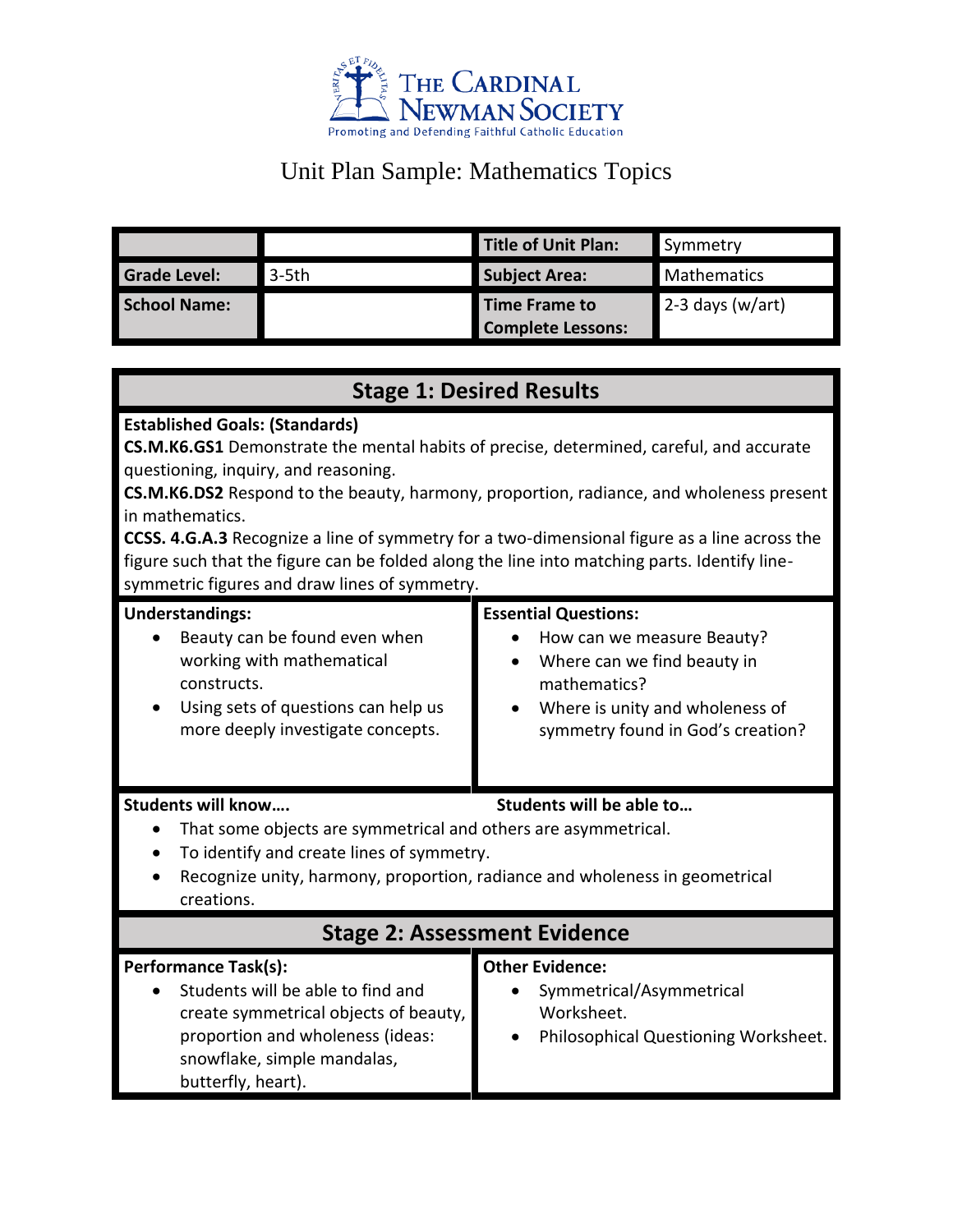

# Unit Plan Sample: Mathematics Topics

|                     |          | Title of Unit Plan:      | Symmetry           |
|---------------------|----------|--------------------------|--------------------|
| <b>Grade Level:</b> | $3-5$ th | <b>Subject Area:</b>     | <b>Mathematics</b> |
| School Name:        |          | Time Frame to            | $2-3$ days (w/art) |
|                     |          | <b>Complete Lessons:</b> |                    |

| <b>Stage 1: Desired Results</b>                                                                                                                                                                                                                                                                                                                                                                                                                                                                                                                |                                                                                                                                                                                  |  |  |
|------------------------------------------------------------------------------------------------------------------------------------------------------------------------------------------------------------------------------------------------------------------------------------------------------------------------------------------------------------------------------------------------------------------------------------------------------------------------------------------------------------------------------------------------|----------------------------------------------------------------------------------------------------------------------------------------------------------------------------------|--|--|
| <b>Established Goals: (Standards)</b><br>CS.M.K6.GS1 Demonstrate the mental habits of precise, determined, careful, and accurate<br>questioning, inquiry, and reasoning.<br>CS.M.K6.DS2 Respond to the beauty, harmony, proportion, radiance, and wholeness present<br>in mathematics.<br><b>CCSS. 4.G.A.3</b> Recognize a line of symmetry for a two-dimensional figure as a line across the<br>figure such that the figure can be folded along the line into matching parts. Identify line-<br>symmetric figures and draw lines of symmetry. |                                                                                                                                                                                  |  |  |
| <b>Understandings:</b><br>Beauty can be found even when<br>working with mathematical<br>constructs.<br>Using sets of questions can help us<br>$\bullet$<br>more deeply investigate concepts.                                                                                                                                                                                                                                                                                                                                                   | <b>Essential Questions:</b><br>How can we measure Beauty?<br>Where can we find beauty in<br>mathematics?<br>Where is unity and wholeness of<br>symmetry found in God's creation? |  |  |
| <b>Students will know</b><br>Students will be able to<br>That some objects are symmetrical and others are asymmetrical.<br>$\bullet$<br>To identify and create lines of symmetry.<br>$\bullet$<br>Recognize unity, harmony, proportion, radiance and wholeness in geometrical<br>creations.                                                                                                                                                                                                                                                    |                                                                                                                                                                                  |  |  |
| <b>Stage 2: Assessment Evidence</b>                                                                                                                                                                                                                                                                                                                                                                                                                                                                                                            |                                                                                                                                                                                  |  |  |
| <b>Performance Task(s):</b><br>Students will be able to find and<br>create symmetrical objects of beauty,<br>proportion and wholeness (ideas:<br>snowflake, simple mandalas,<br>butterfly, heart).                                                                                                                                                                                                                                                                                                                                             | <b>Other Evidence:</b><br>Symmetrical/Asymmetrical<br>Worksheet.<br>Philosophical Questioning Worksheet.                                                                         |  |  |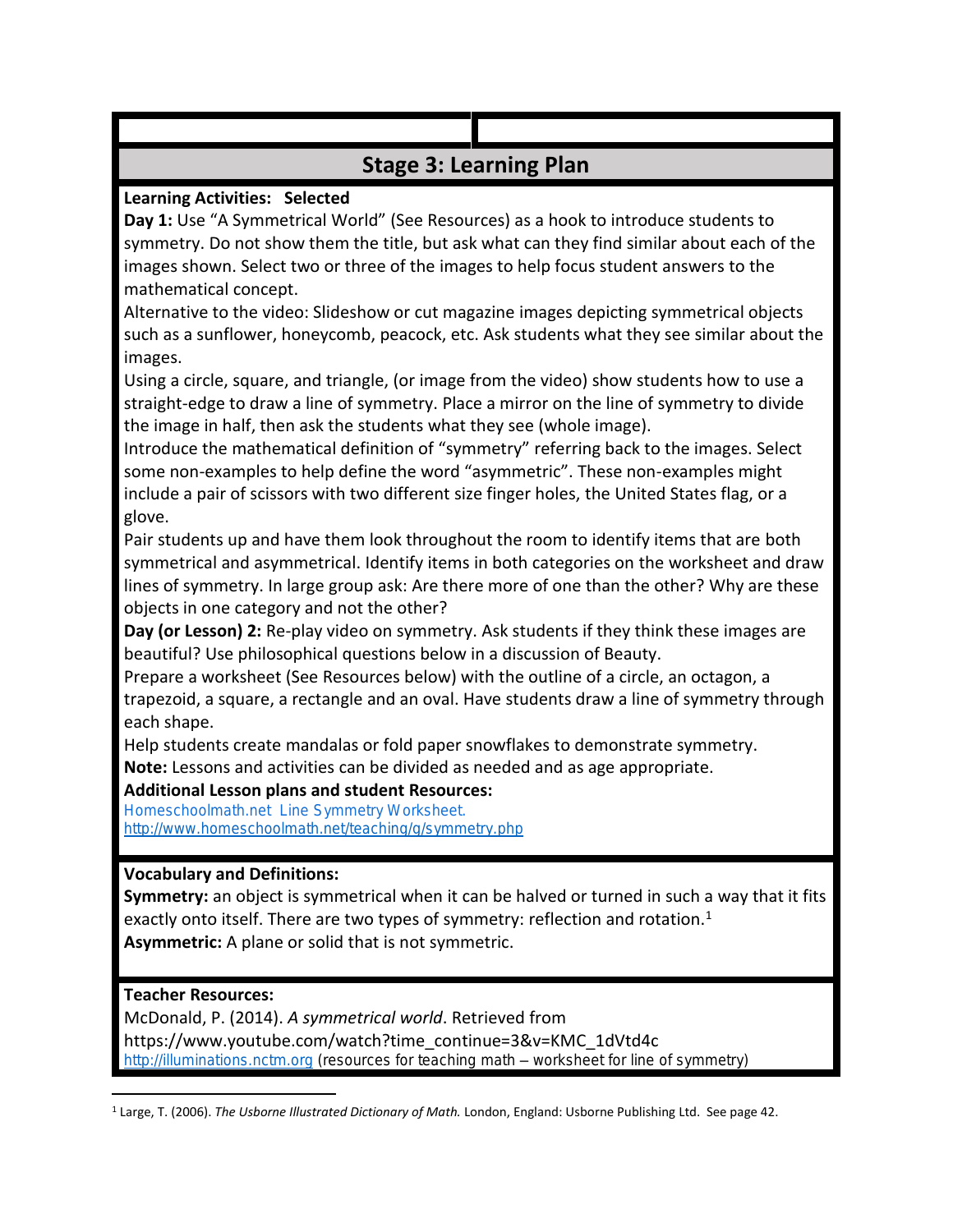### **Stage 3: Learning Plan**

#### **Learning Activities: Selected**

**Day 1:** Use "A Symmetrical World" (See Resources) as a hook to introduce students to symmetry. Do not show them the title, but ask what can they find similar about each of the images shown. Select two or three of the images to help focus student answers to the mathematical concept.

Alternative to the video: Slideshow or cut magazine images depicting symmetrical objects such as a sunflower, honeycomb, peacock, etc. Ask students what they see similar about the images.

Using a circle, square, and triangle, (or image from the video) show students how to use a straight-edge to draw a line of symmetry. Place a mirror on the line of symmetry to divide the image in half, then ask the students what they see (whole image).

Introduce the mathematical definition of "symmetry" referring back to the images. Select some non-examples to help define the word "asymmetric". These non-examples might include a pair of scissors with two different size finger holes, the United States flag, or a glove.

Pair students up and have them look throughout the room to identify items that are both symmetrical and asymmetrical. Identify items in both categories on the worksheet and draw lines of symmetry. In large group ask: Are there more of one than the other? Why are these objects in one category and not the other?

**Day (or Lesson) 2:** Re-play video on symmetry. Ask students if they think these images are beautiful? Use philosophical questions below in a discussion of Beauty.

Prepare a worksheet (See Resources below) with the outline of a circle, an octagon, a trapezoid, a square, a rectangle and an oval. Have students draw a line of symmetry through each shape.

Help students create mandalas or fold paper snowflakes to demonstrate symmetry. **Note:** Lessons and activities can be divided as needed and as age appropriate.

### **Additional Lesson plans and student Resources:**

**Homeschoolmath.net Line Symmetry Worksheet. <http://www.homeschoolmath.net/teaching/g/symmetry.php>**

### **Vocabulary and Definitions:**

**Symmetry:** an object is symmetrical when it can be halved or turned in such a way that it fits exactly onto itself. There are two types of symmetry: reflection and rotation.<sup>1</sup> **Asymmetric:** A plane or solid that is not symmetric.

### **Teacher Resources:**

McDonald, P. (2014). *A symmetrical world*. Retrieved from https://www.youtube.com/watch?time\_continue=3&v=KMC\_1dVtd4c **[http://illuminations.nctm.org](http://illuminations.nctm.org/) (resources for teaching math – worksheet for line of symmetry)**

 $\overline{a}$ <sup>1</sup> Large, T. (2006). *The Usborne Illustrated Dictionary of Math.* London, England: Usborne Publishing Ltd. See page 42.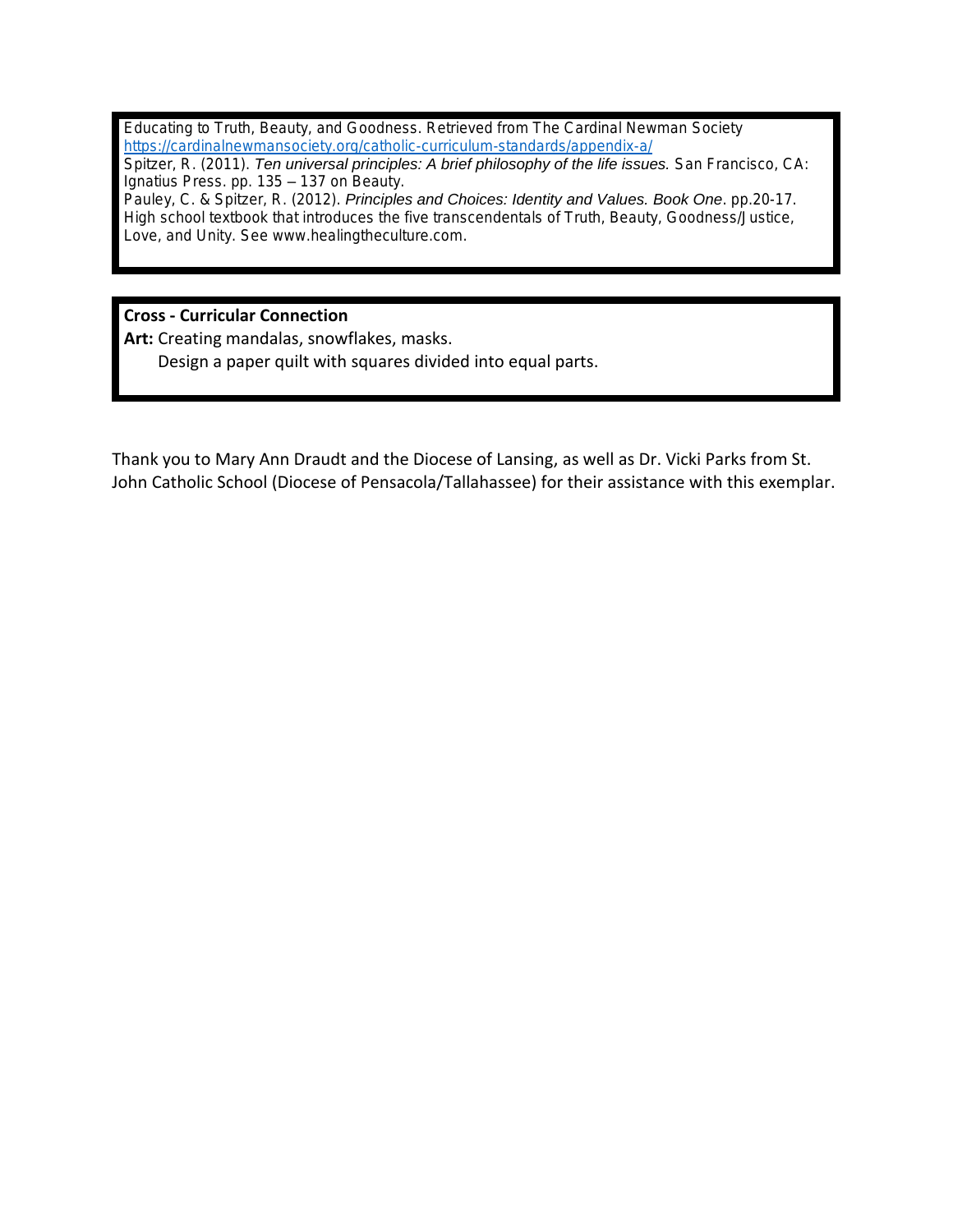**Educating to Truth, Beauty, and Goodness. Retrieved from The Cardinal Newman Society <https://cardinalnewmansociety.org/catholic-curriculum-standards/appendix-a/>**

**Spitzer, R. (2011).** *Ten universal principles: A brief philosophy of the life issues.* **San Francisco, CA: Ignatius Press. pp. 135 – 137 on Beauty.**

**Pauley, C. & Spitzer, R. (2012).** *Principles and Choices: Identity and Values. Book One***. pp.20-17. High school textbook that introduces the five transcendentals of Truth, Beauty, Goodness/Justice, Love, and Unity. See www.healingtheculture.com.**

**Cross - Curricular Connection**

**Art:** Creating mandalas, snowflakes, masks.

Design a paper quilt with squares divided into equal parts.

Thank you to Mary Ann Draudt and the Diocese of Lansing, as well as Dr. Vicki Parks from St. John Catholic School (Diocese of Pensacola/Tallahassee) for their assistance with this exemplar.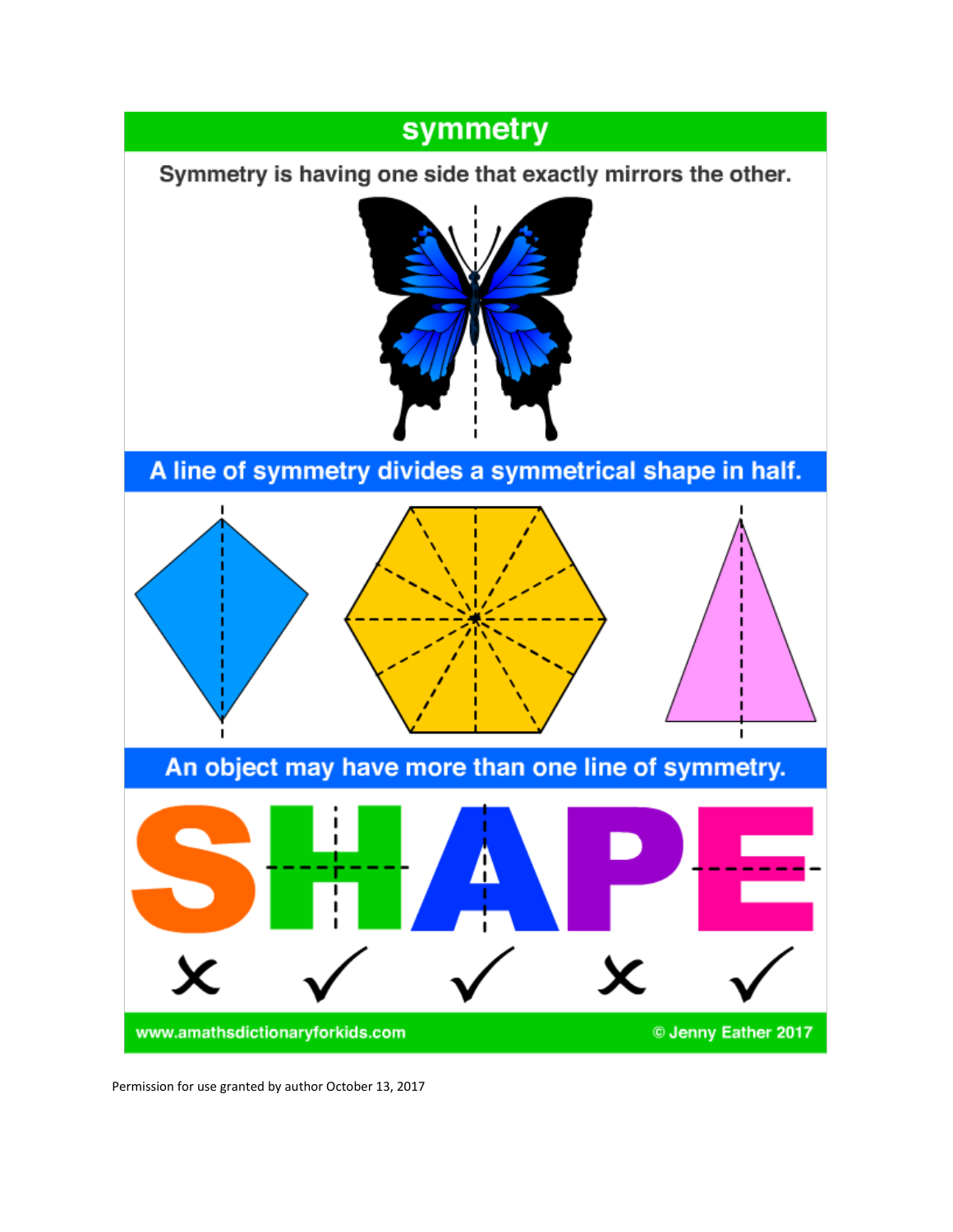## symmetry

Symmetry is having one side that exactly mirrors the other.



A line of symmetry divides a symmetrical shape in half.



Permission for use granted by author October 13, 2017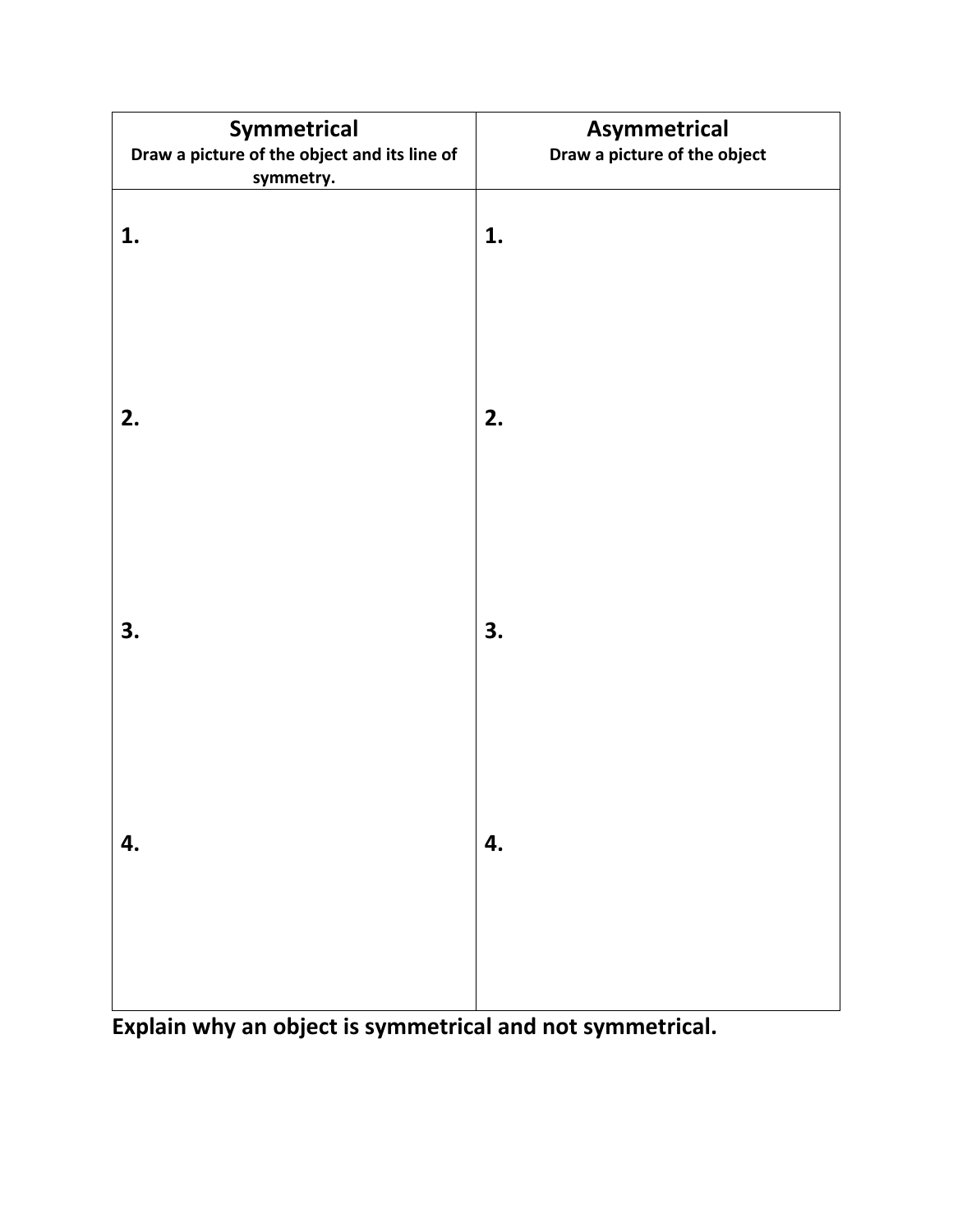| Symmetrical<br>Draw a picture of the object and its line of<br>symmetry. | Asymmetrical<br>Draw a picture of the object |
|--------------------------------------------------------------------------|----------------------------------------------|
| 1.                                                                       | 1.                                           |
| 2.                                                                       | 2.                                           |
| 3.                                                                       | 3.                                           |
| 4.                                                                       | 4.                                           |
|                                                                          |                                              |

**Explain why an object is symmetrical and not symmetrical.**